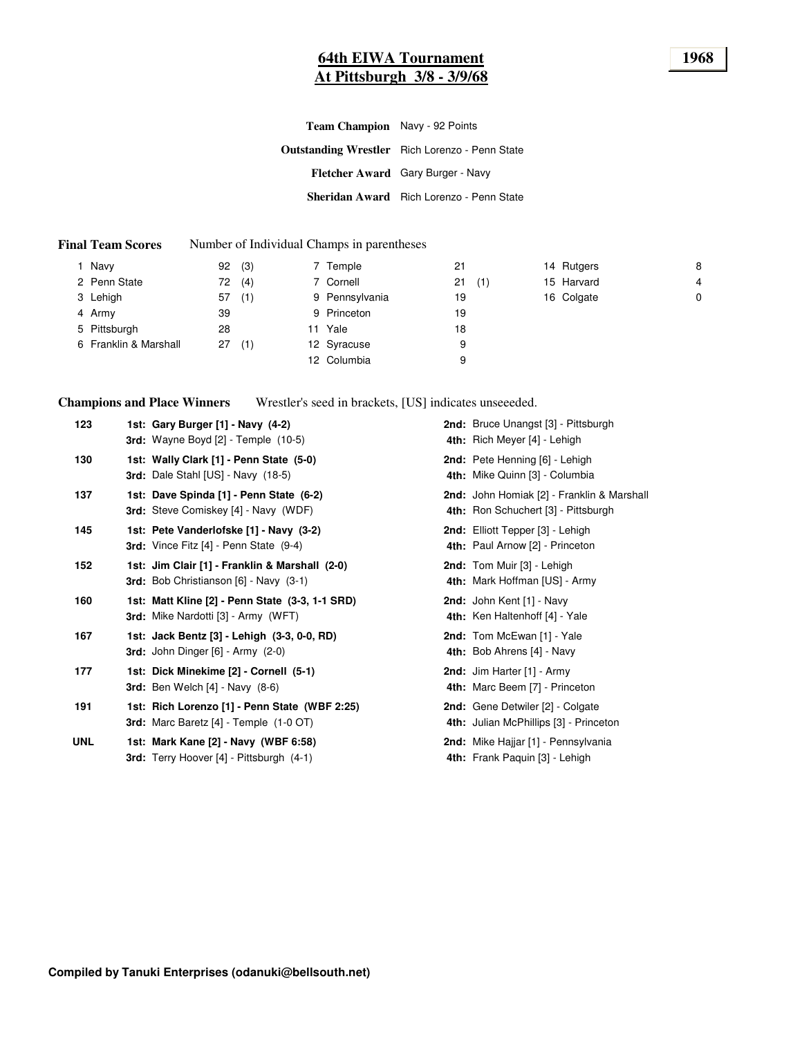### **64th EIWA Tournament 1968 At Pittsburgh 3/8 - 3/9/68**

**Outstanding Wrestler** Rich Lorenzo - Penn State **Fletcher Award** Gary Burger - Navy **Sheridan Award** Rich Lorenzo - Penn State **Team Champion** Navy - 92 Points

#### **Final Team Scores** Number of Individual Champs in parentheses

| Navy                  | 92 | (3) | 7 Temple       | 21 |     | 14 Rutgers | 8              |
|-----------------------|----|-----|----------------|----|-----|------------|----------------|
| 2 Penn State          | 72 | (4) | 7 Cornell      | 21 | (1) | 15 Harvard | $\overline{4}$ |
| 3 Lehigh              | 57 | (1) | 9 Pennsylvania | 19 |     | 16 Colgate | 0              |
| 4 Army                | 39 |     | 9 Princeton    | 19 |     |            |                |
| 5 Pittsburgh          | 28 |     | 11 Yale        | 18 |     |            |                |
| 6 Franklin & Marshall | 27 | (1) | 12 Syracuse    | 9  |     |            |                |
|                       |    |     | 12 Columbia    | 9  |     |            |                |
|                       |    |     |                |    |     |            |                |

**Champions and Place Winners**

Wrestler's seed in brackets, [US] indicates unseeeded.

| 123        | 1st: Gary Burger [1] - Navy (4-2)<br>3rd: Wayne Boyd [2] - Temple (10-5)                      | 2nd: Bruce Unangst [3] - Pittsburgh<br>4th: Rich Meyer [4] - Lehigh               |
|------------|-----------------------------------------------------------------------------------------------|-----------------------------------------------------------------------------------|
| 130        | 1st: Wally Clark [1] - Penn State (5-0)<br>3rd: Dale Stahl [US] - Navy (18-5)                 | 2nd: Pete Henning [6] - Lehigh<br>4th: Mike Quinn [3] - Columbia                  |
| 137        | 1st: Dave Spinda [1] - Penn State (6-2)<br>3rd: Steve Comiskey [4] - Navy (WDF)               | 2nd: John Homiak [2] - Franklin & Marshall<br>4th: Ron Schuchert [3] - Pittsburgh |
| 145        | 1st: Pete Vanderlofske [1] - Navy (3-2)<br><b>3rd:</b> Vince Fitz $[4]$ - Penn State $(9-4)$  | 2nd: Elliott Tepper [3] - Lehigh<br>4th: Paul Arnow [2] - Princeton               |
| 152        | 1st: Jim Clair [1] - Franklin & Marshall (2-0)<br>3rd: Bob Christianson [6] - Navy (3-1)      | 2nd: Tom Muir [3] - Lehigh<br>4th: Mark Hoffman [US] - Army                       |
| 160        | 1st: Matt Kline [2] - Penn State (3-3, 1-1 SRD)<br><b>3rd:</b> Mike Nardotti [3] - Army (WFT) | 2nd: John Kent [1] - Navy<br>4th: Ken Haltenhoff [4] - Yale                       |
| 167        | 1st: Jack Bentz [3] - Lehigh (3-3, 0-0, RD)<br><b>3rd:</b> John Dinger $[6]$ - Army $(2-0)$   | 2nd: Tom McEwan [1] - Yale<br>4th: Bob Ahrens [4] - Navy                          |
| 177        | 1st: Dick Minekime [2] - Cornell (5-1)<br><b>3rd:</b> Ben Welch $[4]$ - Navy $(8-6)$          | 2nd: Jim Harter [1] - Army<br>4th: Marc Beem [7] - Princeton                      |
| 191        | 1st: Rich Lorenzo [1] - Penn State (WBF 2:25)<br>3rd: Marc Baretz [4] - Temple (1-0 OT)       | 2nd: Gene Detwiler [2] - Colgate<br>4th: Julian McPhillips [3] - Princeton        |
| <b>UNL</b> | 1st: Mark Kane [2] - Navy (WBF 6:58)<br>3rd: Terry Hoover [4] - Pittsburgh (4-1)              | 2nd: Mike Hajjar [1] - Pennsylvania<br>4th: Frank Paquin [3] - Lehigh             |
|            |                                                                                               |                                                                                   |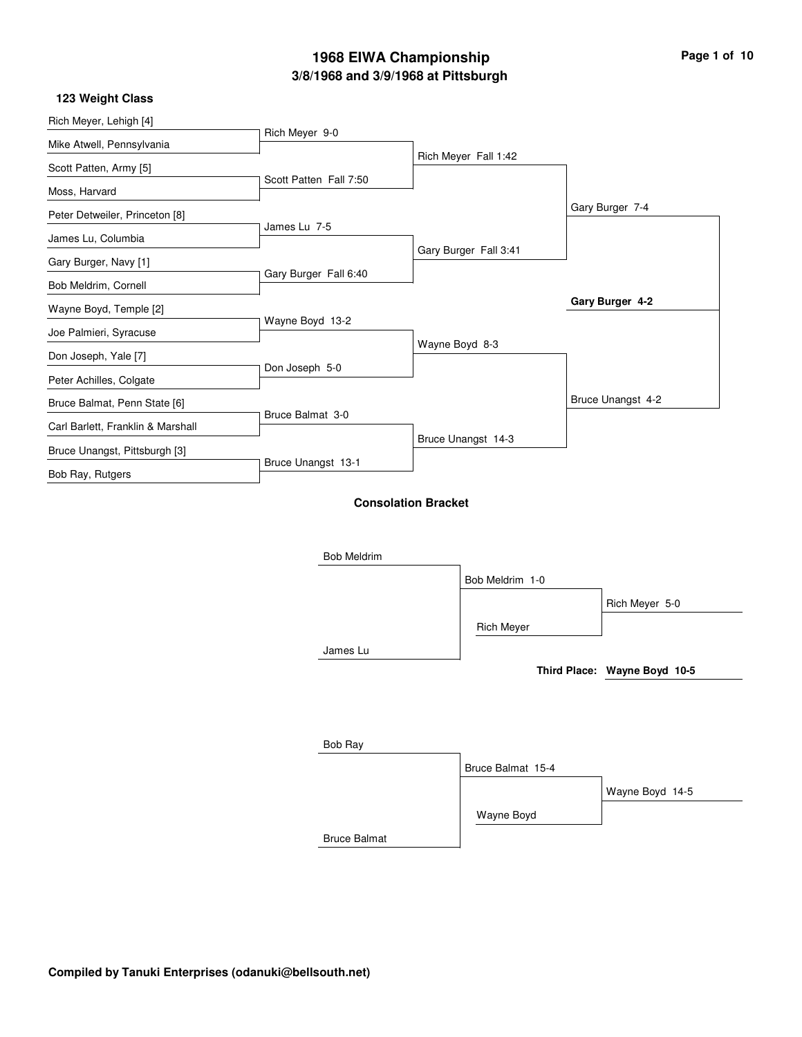#### **123 Weight Class**

| Rich Meyer, Lehigh [4]            |                            |                |                       |                              |
|-----------------------------------|----------------------------|----------------|-----------------------|------------------------------|
| Mike Atwell, Pennsylvania         | Rich Meyer 9-0             |                |                       |                              |
| Scott Patten, Army [5]            |                            |                | Rich Meyer Fall 1:42  |                              |
| Moss, Harvard                     | Scott Patten Fall 7:50     |                |                       |                              |
| Peter Detweiler, Princeton [8]    |                            |                |                       | Gary Burger 7-4              |
| James Lu, Columbia                | James Lu 7-5               |                |                       |                              |
| Gary Burger, Navy [1]             |                            |                | Gary Burger Fall 3:41 |                              |
| Bob Meldrim, Cornell              | Gary Burger Fall 6:40      |                |                       |                              |
| Wayne Boyd, Temple [2]            |                            |                |                       | Gary Burger 4-2              |
| Joe Palmieri, Syracuse            | Wayne Boyd 13-2            |                |                       |                              |
| Don Joseph, Yale [7]              |                            | Wayne Boyd 8-3 |                       |                              |
| Peter Achilles, Colgate           | Don Joseph 5-0             |                |                       |                              |
| Bruce Balmat, Penn State [6]      |                            |                |                       | Bruce Unangst 4-2            |
| Carl Barlett, Franklin & Marshall | Bruce Balmat 3-0           |                |                       |                              |
| Bruce Unangst, Pittsburgh [3]     |                            |                | Bruce Unangst 14-3    |                              |
| Bob Ray, Rutgers                  | Bruce Unangst 13-1         |                |                       |                              |
|                                   | <b>Consolation Bracket</b> |                |                       |                              |
|                                   | <b>Bob Meldrim</b>         |                |                       |                              |
|                                   |                            |                | Bob Meldrim 1-0       |                              |
|                                   |                            |                |                       | Rich Meyer 5-0               |
|                                   |                            |                | <b>Rich Meyer</b>     |                              |
|                                   | James Lu                   |                |                       |                              |
|                                   |                            |                |                       | Third Place: Wayne Boyd 10-5 |
|                                   |                            |                |                       |                              |

| Bob Ray             |                   |                 |
|---------------------|-------------------|-----------------|
|                     | Bruce Balmat 15-4 |                 |
|                     |                   | Wayne Boyd 14-5 |
|                     | Wayne Boyd        |                 |
| <b>Bruce Balmat</b> |                   |                 |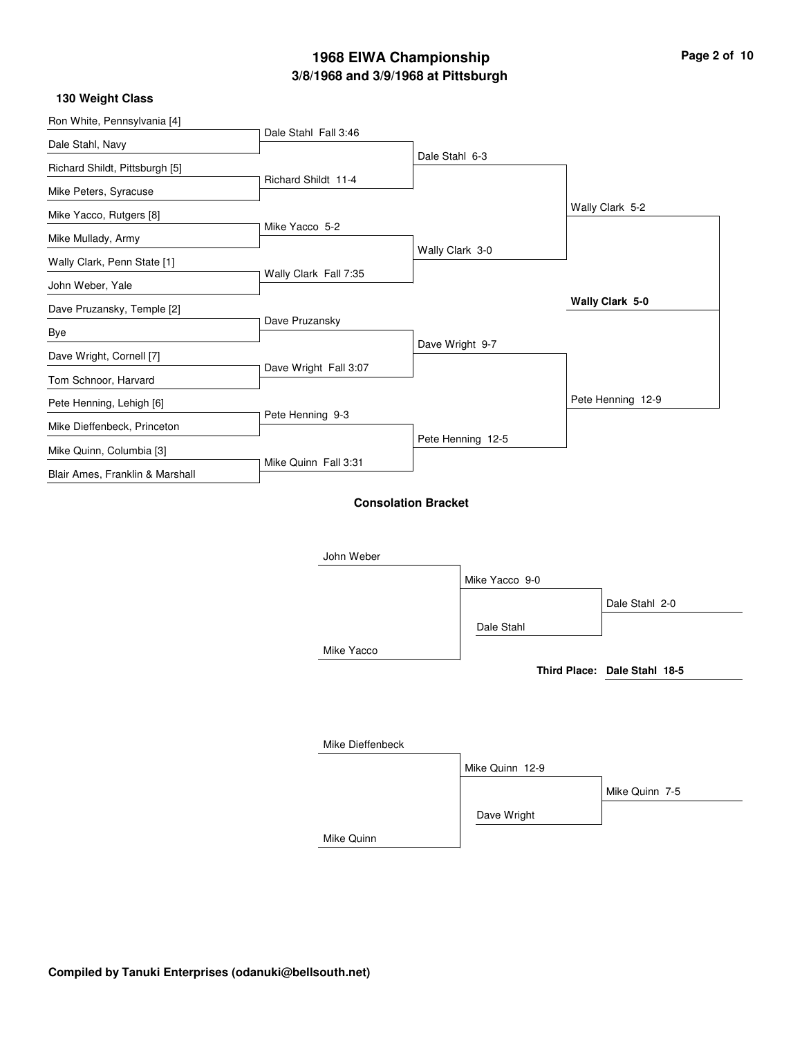| Page 2 of 10 |  |  |
|--------------|--|--|
|--------------|--|--|

#### **130 Weight Class**

| Ron White, Pennsylvania [4]     |                       |                            |                   |                              |
|---------------------------------|-----------------------|----------------------------|-------------------|------------------------------|
| Dale Stahl, Navy                | Dale Stahl Fall 3:46  |                            |                   |                              |
| Richard Shildt, Pittsburgh [5]  |                       | Dale Stahl 6-3             |                   |                              |
| Mike Peters, Syracuse           | Richard Shildt 11-4   |                            |                   |                              |
| Mike Yacco, Rutgers [8]         |                       |                            |                   | Wally Clark 5-2              |
| Mike Mullady, Army              | Mike Yacco 5-2        |                            |                   |                              |
| Wally Clark, Penn State [1]     |                       | Wally Clark 3-0            |                   |                              |
| John Weber, Yale                | Wally Clark Fall 7:35 |                            |                   |                              |
| Dave Pruzansky, Temple [2]      |                       |                            |                   | Wally Clark 5-0              |
| Bye                             | Dave Pruzansky        |                            |                   |                              |
| Dave Wright, Cornell [7]        |                       |                            | Dave Wright 9-7   |                              |
| Tom Schnoor, Harvard            | Dave Wright Fall 3:07 |                            |                   |                              |
| Pete Henning, Lehigh [6]        |                       |                            |                   | Pete Henning 12-9            |
| Mike Dieffenbeck, Princeton     | Pete Henning 9-3      |                            |                   |                              |
| Mike Quinn, Columbia [3]        |                       |                            | Pete Henning 12-5 |                              |
| Blair Ames, Franklin & Marshall | Mike Quinn Fall 3:31  |                            |                   |                              |
|                                 | John Weber            | <b>Consolation Bracket</b> |                   |                              |
|                                 |                       |                            | Mike Yacco 9-0    |                              |
|                                 |                       |                            |                   | Dale Stahl 2-0               |
|                                 |                       |                            | Dale Stahl        |                              |
|                                 | Mike Yacco            |                            |                   |                              |
|                                 |                       |                            |                   | Third Place: Dale Stahl 18-5 |
|                                 |                       |                            |                   |                              |
|                                 | Mike Dieffenbeck      |                            |                   |                              |
|                                 |                       |                            | Mike Quinn 12-9   |                              |
|                                 |                       |                            |                   | Mike Quinn 7-5               |
|                                 |                       |                            | Dave Wright       |                              |
|                                 |                       |                            |                   |                              |

Mike Quinn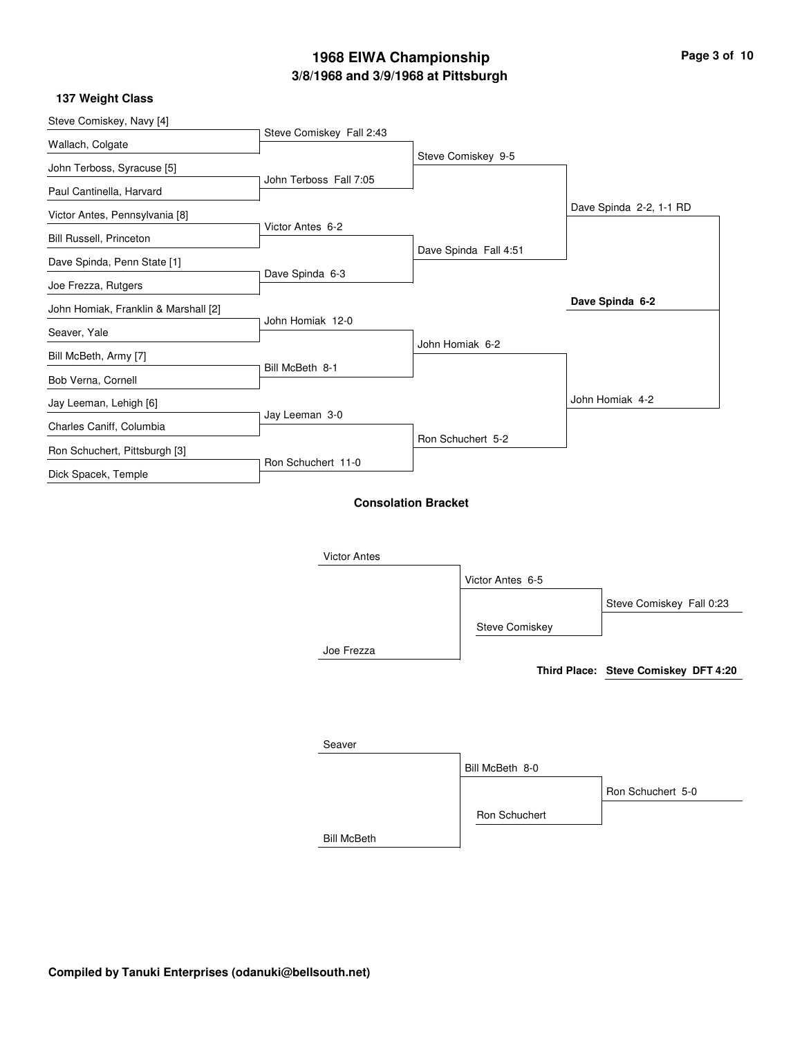**137 Weight Class**

| Steve Comiskey, Navy [4]             | Steve Comiskey Fall 2:43 |                            |                       |                                      |
|--------------------------------------|--------------------------|----------------------------|-----------------------|--------------------------------------|
| Wallach, Colgate                     |                          |                            |                       |                                      |
| John Terboss, Syracuse [5]           |                          |                            | Steve Comiskey 9-5    |                                      |
| Paul Cantinella, Harvard             | John Terboss Fall 7:05   |                            |                       |                                      |
| Victor Antes, Pennsylvania [8]       |                          |                            |                       | Dave Spinda 2-2, 1-1 RD              |
| Bill Russell, Princeton              | Victor Antes 6-2         |                            |                       |                                      |
| Dave Spinda, Penn State [1]          |                          |                            | Dave Spinda Fall 4:51 |                                      |
| Joe Frezza, Rutgers                  | Dave Spinda 6-3          |                            |                       |                                      |
| John Homiak, Franklin & Marshall [2] |                          |                            |                       | Dave Spinda 6-2                      |
| Seaver, Yale                         | John Homiak 12-0         |                            |                       |                                      |
| Bill McBeth, Army [7]                |                          |                            | John Homiak 6-2       |                                      |
| Bob Verna, Cornell                   | Bill McBeth 8-1          |                            |                       |                                      |
| Jay Leeman, Lehigh [6]               |                          |                            |                       | John Homiak 4-2                      |
|                                      | Jay Leeman 3-0           |                            |                       |                                      |
| Charles Caniff, Columbia             |                          |                            | Ron Schuchert 5-2     |                                      |
| Ron Schuchert, Pittsburgh [3]        | Ron Schuchert 11-0       |                            |                       |                                      |
| Dick Spacek, Temple                  |                          |                            |                       |                                      |
|                                      |                          | <b>Consolation Bracket</b> |                       |                                      |
|                                      |                          |                            |                       |                                      |
|                                      | <b>Victor Antes</b>      |                            |                       |                                      |
|                                      |                          |                            | Victor Antes 6-5      |                                      |
|                                      |                          |                            |                       | Steve Comiskey Fall 0:23             |
|                                      |                          |                            | Steve Comiskey        |                                      |
|                                      | Joe Frezza               |                            |                       |                                      |
|                                      |                          |                            |                       | Third Place: Steve Comiskey DFT 4:20 |
|                                      |                          |                            |                       |                                      |
|                                      |                          |                            |                       |                                      |
|                                      |                          |                            |                       |                                      |
|                                      | Seaver                   |                            |                       |                                      |

Bill McBeth Bill McBeth 8-0 Ron Schuchert Ron Schuchert 5-0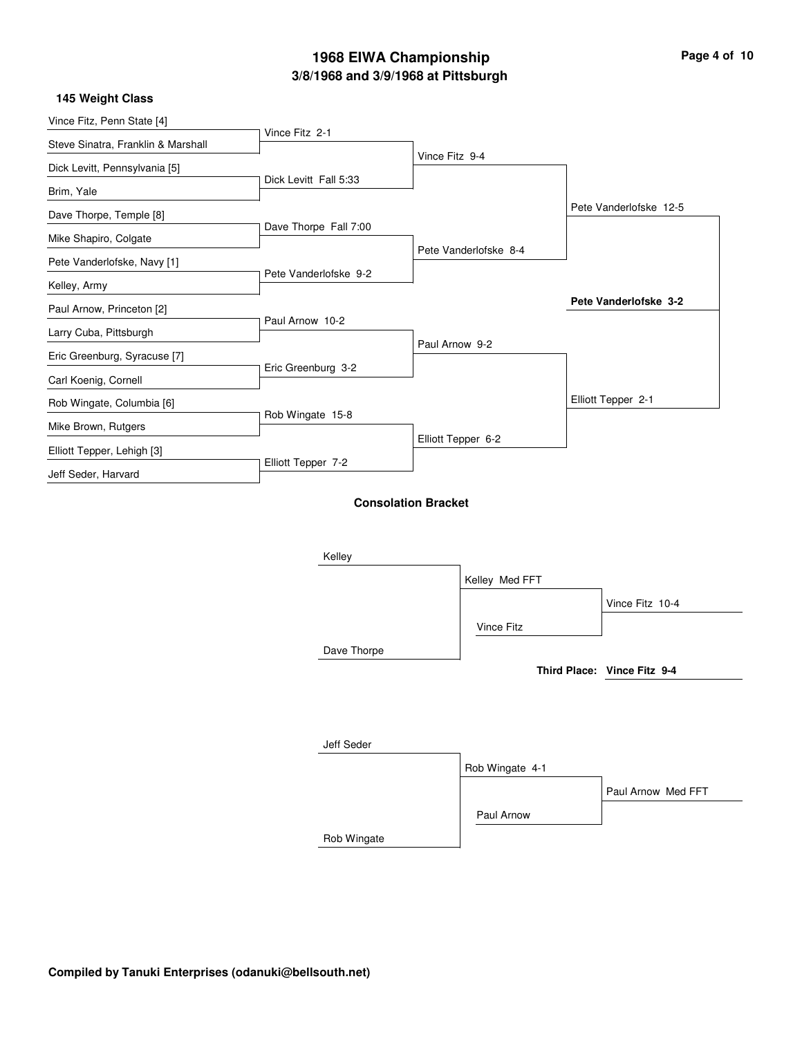|  |  | Page 4 of 10 |
|--|--|--------------|
|  |  |              |

### **145 Weight Class**

| Vince Fitz, Penn State [4]         |                       |                            |                       |                        |
|------------------------------------|-----------------------|----------------------------|-----------------------|------------------------|
| Steve Sinatra, Franklin & Marshall | Vince Fitz 2-1        |                            |                       |                        |
| Dick Levitt, Pennsylvania [5]      |                       | Vince Fitz 9-4             |                       |                        |
| Brim, Yale                         | Dick Levitt Fall 5:33 |                            |                       |                        |
| Dave Thorpe, Temple [8]            |                       |                            |                       | Pete Vanderlofske 12-5 |
| Mike Shapiro, Colgate              | Dave Thorpe Fall 7:00 |                            |                       |                        |
| Pete Vanderlofske, Navy [1]        |                       |                            | Pete Vanderlofske 8-4 |                        |
| Kelley, Army                       | Pete Vanderlofske 9-2 |                            |                       |                        |
| Paul Arnow, Princeton [2]          |                       |                            |                       | Pete Vanderlofske 3-2  |
| Larry Cuba, Pittsburgh             | Paul Arnow 10-2       |                            |                       |                        |
| Eric Greenburg, Syracuse [7]       |                       | Paul Arnow 9-2             |                       |                        |
| Carl Koenig, Cornell               | Eric Greenburg 3-2    |                            |                       |                        |
| Rob Wingate, Columbia [6]          |                       |                            |                       | Elliott Tepper 2-1     |
| Mike Brown, Rutgers                | Rob Wingate 15-8      |                            |                       |                        |
| Elliott Tepper, Lehigh [3]         |                       | Elliott Tepper 6-2         |                       |                        |
| Jeff Seder, Harvard                | Elliott Tepper 7-2    |                            |                       |                        |
|                                    |                       | <b>Consolation Bracket</b> |                       |                        |
|                                    | Kelley                |                            |                       |                        |
|                                    |                       |                            | Kelley Med FFT        |                        |

|             |                   | Vince Fitz 10-4             |
|-------------|-------------------|-----------------------------|
|             | <b>Vince Fitz</b> |                             |
| Dave Thorpe |                   |                             |
|             |                   | Third Place: Vince Fitz 9-4 |
|             |                   |                             |
|             |                   |                             |
| Jeff Seder  |                   |                             |
|             | Rob Wingate 4-1   |                             |
|             |                   | Paul Arnow Med FFT          |
|             | Paul Arnow        |                             |

Rob Wingate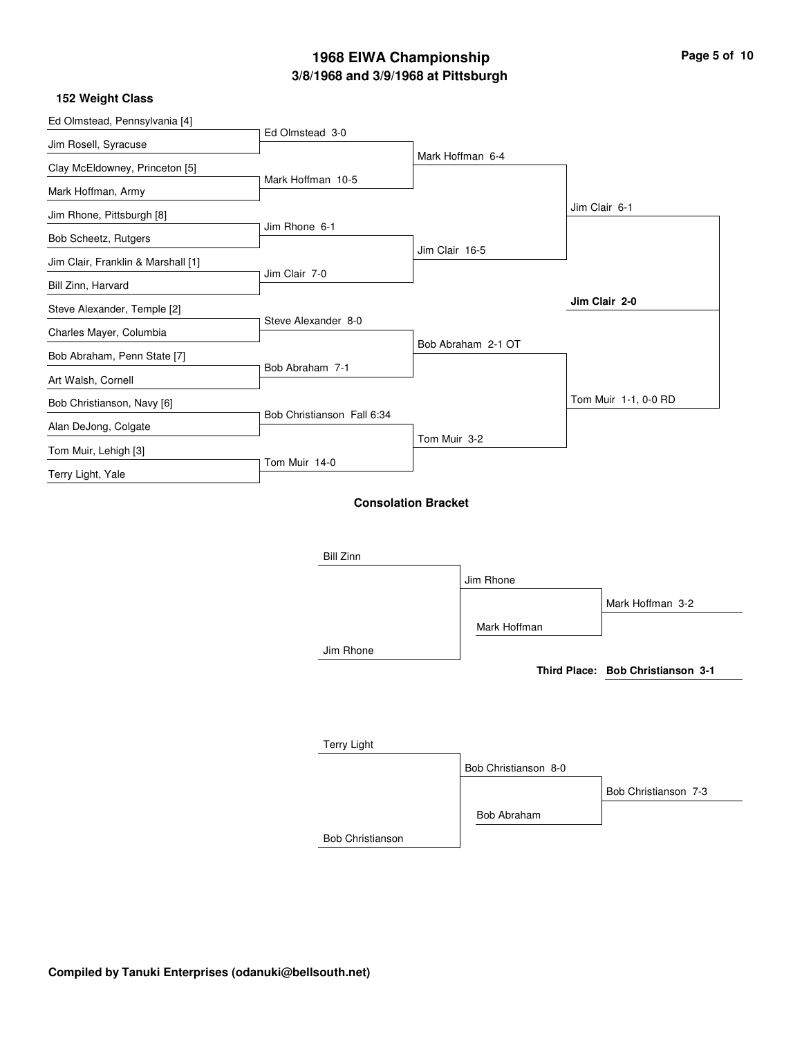### **152 Weight Class**

| Ed Olmstead, Pennsylvania [4]      |                            |                            |                    |                                   |
|------------------------------------|----------------------------|----------------------------|--------------------|-----------------------------------|
| Jim Rosell, Syracuse               | Ed Olmstead 3-0            |                            |                    |                                   |
| Clay McEldowney, Princeton [5]     |                            |                            | Mark Hoffman 6-4   |                                   |
| Mark Hoffman, Army                 | Mark Hoffman 10-5          |                            |                    |                                   |
| Jim Rhone, Pittsburgh [8]          |                            |                            |                    | Jim Clair 6-1                     |
| Bob Scheetz, Rutgers               | Jim Rhone 6-1              |                            |                    |                                   |
| Jim Clair, Franklin & Marshall [1] |                            | Jim Clair 16-5             |                    |                                   |
|                                    | Jim Clair 7-0              |                            |                    |                                   |
| Bill Zinn, Harvard                 |                            |                            |                    | Jim Clair 2-0                     |
| Steve Alexander, Temple [2]        | Steve Alexander 8-0        |                            |                    |                                   |
| Charles Mayer, Columbia            |                            |                            | Bob Abraham 2-1 OT |                                   |
| Bob Abraham, Penn State [7]        | Bob Abraham 7-1            |                            |                    |                                   |
| Art Walsh, Cornell                 |                            |                            |                    |                                   |
| Bob Christianson, Navy [6]         | Bob Christianson Fall 6:34 |                            |                    | Tom Muir 1-1, 0-0 RD              |
| Alan DeJong, Colgate               |                            |                            |                    |                                   |
| Tom Muir, Lehigh [3]               |                            | Tom Muir 3-2               |                    |                                   |
| Terry Light, Yale                  | Tom Muir 14-0              |                            |                    |                                   |
|                                    |                            | <b>Consolation Bracket</b> |                    |                                   |
|                                    | <b>Bill Zinn</b>           |                            |                    |                                   |
|                                    |                            |                            | Jim Rhone          |                                   |
|                                    |                            |                            |                    | Mark Hoffman 3-2                  |
|                                    |                            |                            | Mark Hoffman       |                                   |
|                                    | Jim Rhone                  |                            |                    |                                   |
|                                    |                            |                            |                    | Third Place: Bob Christianson 3-1 |
|                                    |                            |                            |                    |                                   |
|                                    |                            |                            |                    |                                   |

| <b>Terry Light</b>      |                      |                      |
|-------------------------|----------------------|----------------------|
|                         | Bob Christianson 8-0 |                      |
|                         |                      | Bob Christianson 7-3 |
|                         | Bob Abraham          |                      |
| <b>Bob Christianson</b> |                      |                      |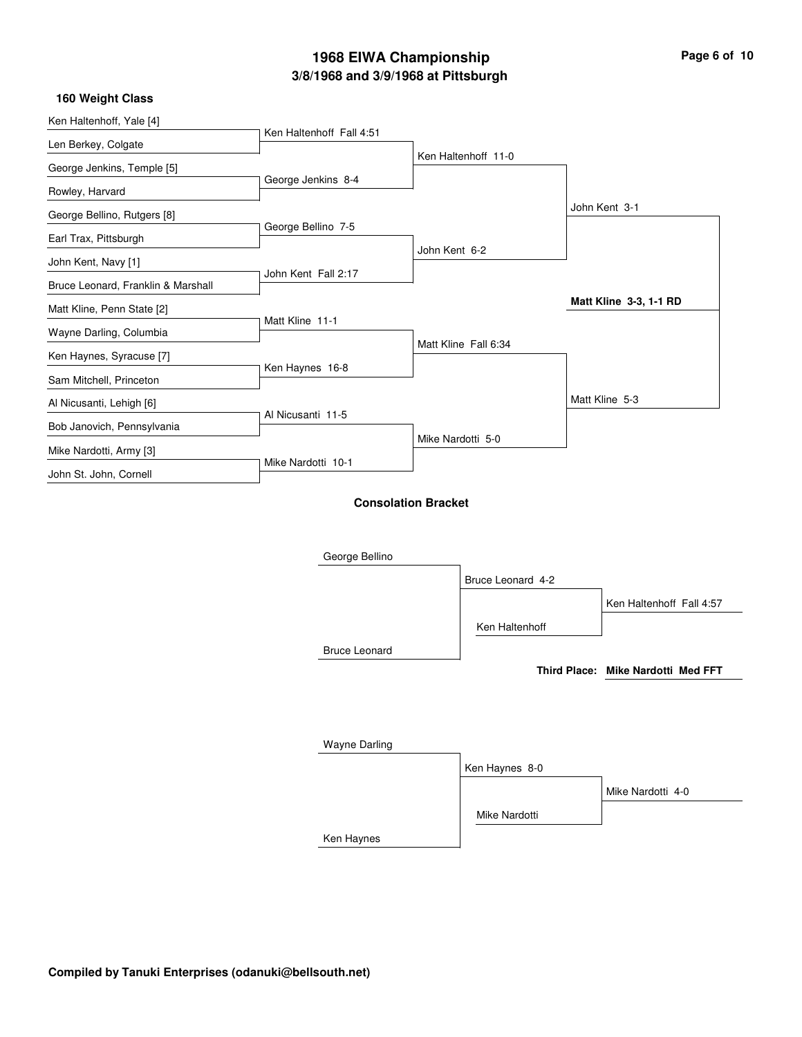Ken Haltenhoff, Yale [4] Len Berkey, Colgate George Jenkins, Temple [5] Rowley, Harvard George Bellino, Rutgers [8] Earl Trax, Pittsburgh John Kent, Navy [1] Bruce Leonard, Franklin & Marshall Matt Kline, Penn State [2] Wayne Darling, Columbia Ken Haynes, Syracuse [7] Sam Mitchell, Princeton Al Nicusanti, Lehigh [6] Bob Janovich, Pennsylvania Mike Nardotti, Army [3] John St. John, Cornell Ken Haltenhoff Fall 4:51 George Jenkins 8-4 George Bellino 7-5 John Kent Fall 2:17 Matt Kline 11-1 Ken Haynes 16-8 Al Nicusanti 11-5 Mike Nardotti 10-1 Ken Haltenhoff 11-0 John Kent 6-2 Matt Kline Fall 6:34 Mike Nardotti 5-0 John Kent 3-1 Matt Kline 5-3 **Matt Kline 3-3, 1-1 RD 160 Weight Class Consolation Bracket**

| George Bellino       |                   |                                    |
|----------------------|-------------------|------------------------------------|
|                      | Bruce Leonard 4-2 |                                    |
|                      |                   | Ken Haltenhoff Fall 4:57           |
|                      | Ken Haltenhoff    |                                    |
| <b>Bruce Leonard</b> |                   |                                    |
|                      |                   | Third Place: Mike Nardotti Med FFT |
|                      |                   |                                    |
|                      |                   |                                    |
|                      |                   |                                    |
| <b>Wayne Darling</b> |                   |                                    |
|                      | Ken Haynes 8-0    |                                    |
|                      |                   | Mike Nardotti 4-0                  |
|                      |                   |                                    |

Ken Haynes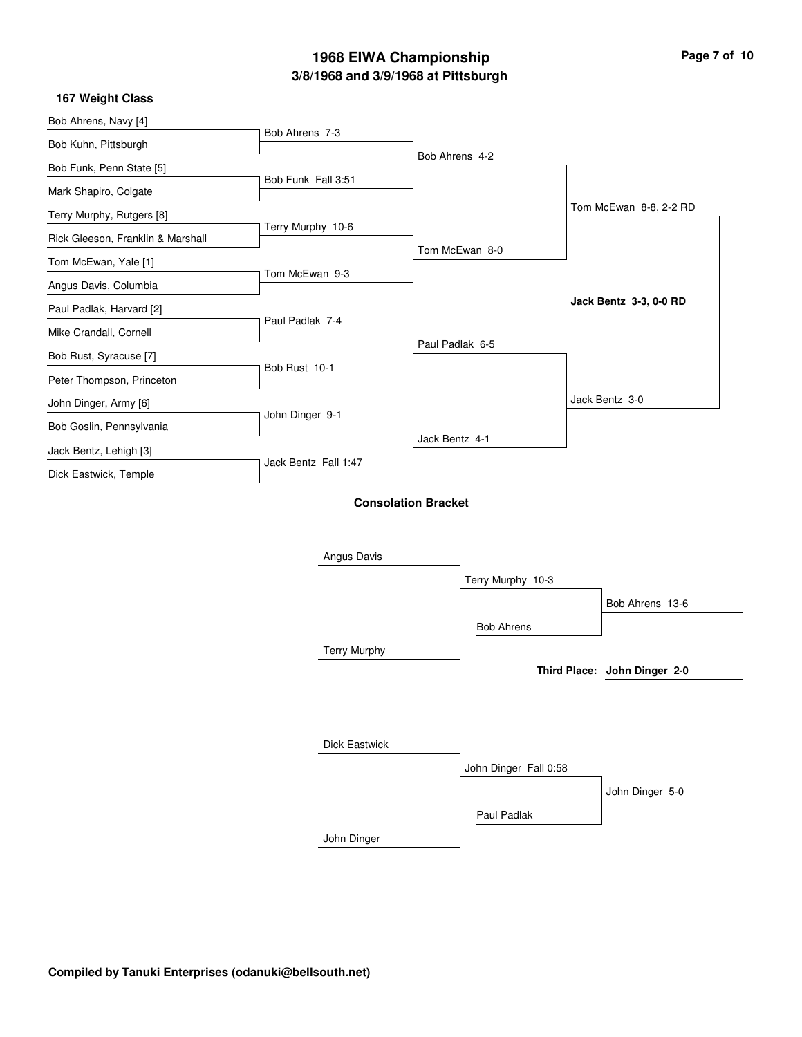|  | Page 7 of 10 |  |  |  |
|--|--------------|--|--|--|
|--|--------------|--|--|--|

i.

÷

### **167 Weight Class**

| Bob Ahrens, Navy [4]              |                      |                            |                   |                              |
|-----------------------------------|----------------------|----------------------------|-------------------|------------------------------|
| Bob Kuhn, Pittsburgh              | Bob Ahrens 7-3       |                            |                   |                              |
| Bob Funk, Penn State [5]          |                      | Bob Ahrens 4-2             |                   |                              |
| Mark Shapiro, Colgate             | Bob Funk Fall 3:51   |                            |                   |                              |
| Terry Murphy, Rutgers [8]         |                      |                            |                   | Tom McEwan 8-8, 2-2 RD       |
| Rick Gleeson, Franklin & Marshall | Terry Murphy 10-6    |                            |                   |                              |
| Tom McEwan, Yale [1]              |                      |                            | Tom McEwan 8-0    |                              |
| Angus Davis, Columbia             | Tom McEwan 9-3       |                            |                   |                              |
| Paul Padlak, Harvard [2]          |                      |                            |                   | Jack Bentz 3-3, 0-0 RD       |
| Mike Crandall, Cornell            | Paul Padlak 7-4      |                            |                   |                              |
| Bob Rust, Syracuse [7]            |                      | Paul Padlak 6-5            |                   |                              |
| Peter Thompson, Princeton         | Bob Rust 10-1        |                            |                   |                              |
| John Dinger, Army [6]             |                      |                            |                   | Jack Bentz 3-0               |
| Bob Goslin, Pennsylvania          | John Dinger 9-1      |                            |                   |                              |
| Jack Bentz, Lehigh [3]            |                      | Jack Bentz 4-1             |                   |                              |
| Dick Eastwick, Temple             | Jack Bentz Fall 1:47 |                            |                   |                              |
|                                   |                      |                            |                   |                              |
|                                   |                      | <b>Consolation Bracket</b> |                   |                              |
|                                   |                      |                            |                   |                              |
|                                   | Angus Davis          |                            |                   |                              |
|                                   |                      |                            | Terry Murphy 10-3 |                              |
|                                   |                      |                            |                   | Bob Ahrens 13-6              |
|                                   |                      |                            | <b>Bob Ahrens</b> |                              |
|                                   | <b>Terry Murphy</b>  |                            |                   |                              |
|                                   |                      |                            |                   | Third Place: John Dinger 2-0 |
|                                   |                      |                            |                   |                              |
|                                   |                      |                            |                   |                              |

| Dick Eastwick |                       |                 |
|---------------|-----------------------|-----------------|
|               | John Dinger Fall 0:58 |                 |
|               |                       | John Dinger 5-0 |
|               | Paul Padlak           |                 |
| John Dinger   |                       |                 |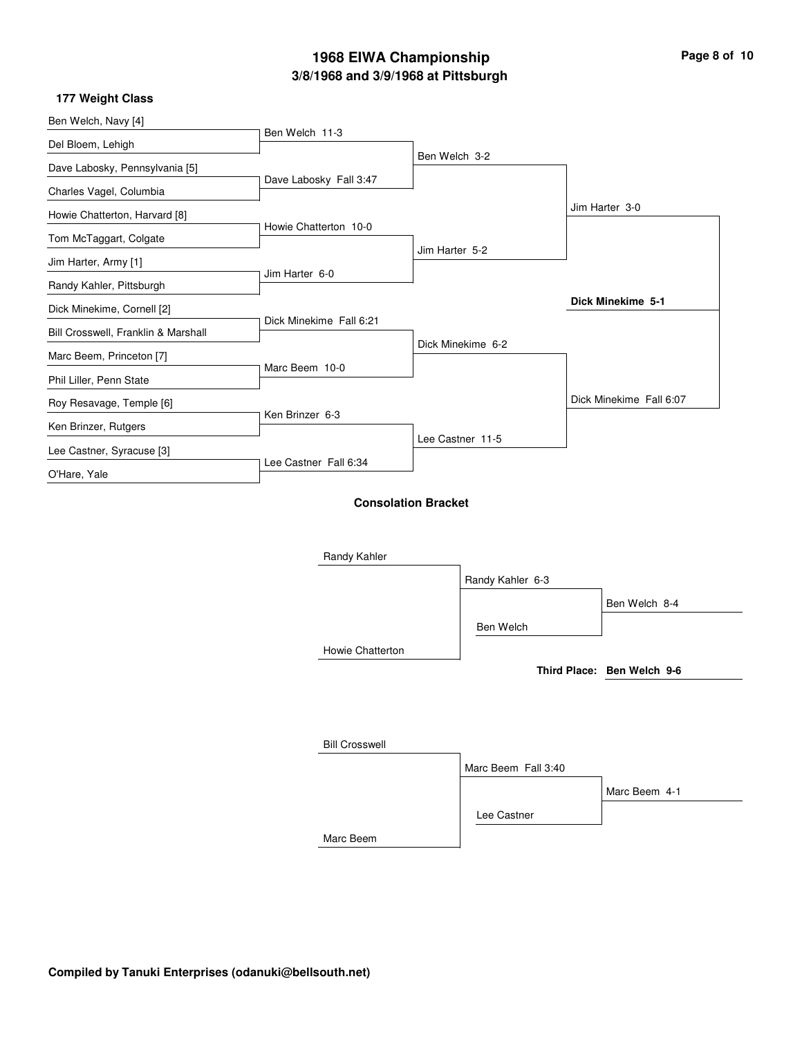$\overline{\phantom{0}}$ 

۰

### **177 Weight Class**

| Ben Welch, Navy [4]                 |                         |                            |                   |                            |
|-------------------------------------|-------------------------|----------------------------|-------------------|----------------------------|
| Del Bloem, Lehigh                   | Ben Welch 11-3          |                            |                   |                            |
| Dave Labosky, Pennsylvania [5]      |                         | Ben Welch 3-2              |                   |                            |
| Charles Vagel, Columbia             | Dave Labosky Fall 3:47  |                            |                   |                            |
| Howie Chatterton, Harvard [8]       |                         |                            |                   | Jim Harter 3-0             |
| Tom McTaggart, Colgate              | Howie Chatterton 10-0   |                            |                   |                            |
|                                     |                         | Jim Harter 5-2             |                   |                            |
| Jim Harter, Army [1]                | Jim Harter 6-0          |                            |                   |                            |
| Randy Kahler, Pittsburgh            |                         |                            |                   | Dick Minekime 5-1          |
| Dick Minekime, Cornell [2]          | Dick Minekime Fall 6:21 |                            |                   |                            |
| Bill Crosswell, Franklin & Marshall |                         |                            | Dick Minekime 6-2 |                            |
| Marc Beem, Princeton [7]            | Marc Beem 10-0          |                            |                   |                            |
| Phil Liller, Penn State             |                         |                            |                   |                            |
| Roy Resavage, Temple [6]            |                         |                            |                   | Dick Minekime Fall 6:07    |
| Ken Brinzer, Rutgers                | Ken Brinzer 6-3         |                            |                   |                            |
| Lee Castner, Syracuse [3]           |                         |                            | Lee Castner 11-5  |                            |
| O'Hare, Yale                        | Lee Castner Fall 6:34   |                            |                   |                            |
|                                     |                         |                            |                   |                            |
|                                     |                         | <b>Consolation Bracket</b> |                   |                            |
|                                     |                         |                            |                   |                            |
|                                     | Randy Kahler            |                            |                   |                            |
|                                     |                         |                            | Randy Kahler 6-3  |                            |
|                                     |                         |                            |                   | Ben Welch 8-4              |
|                                     |                         |                            | Ben Welch         |                            |
|                                     |                         |                            |                   |                            |
|                                     | Howie Chatterton        |                            |                   | Third Place: Ben Welch 9-6 |
|                                     |                         |                            |                   |                            |
|                                     |                         |                            |                   |                            |

| <b>Bill Crosswell</b> |                     |               |
|-----------------------|---------------------|---------------|
|                       | Marc Beem Fall 3:40 |               |
|                       |                     | Marc Beem 4-1 |
|                       | Lee Castner         |               |
| Marc Beem             |                     |               |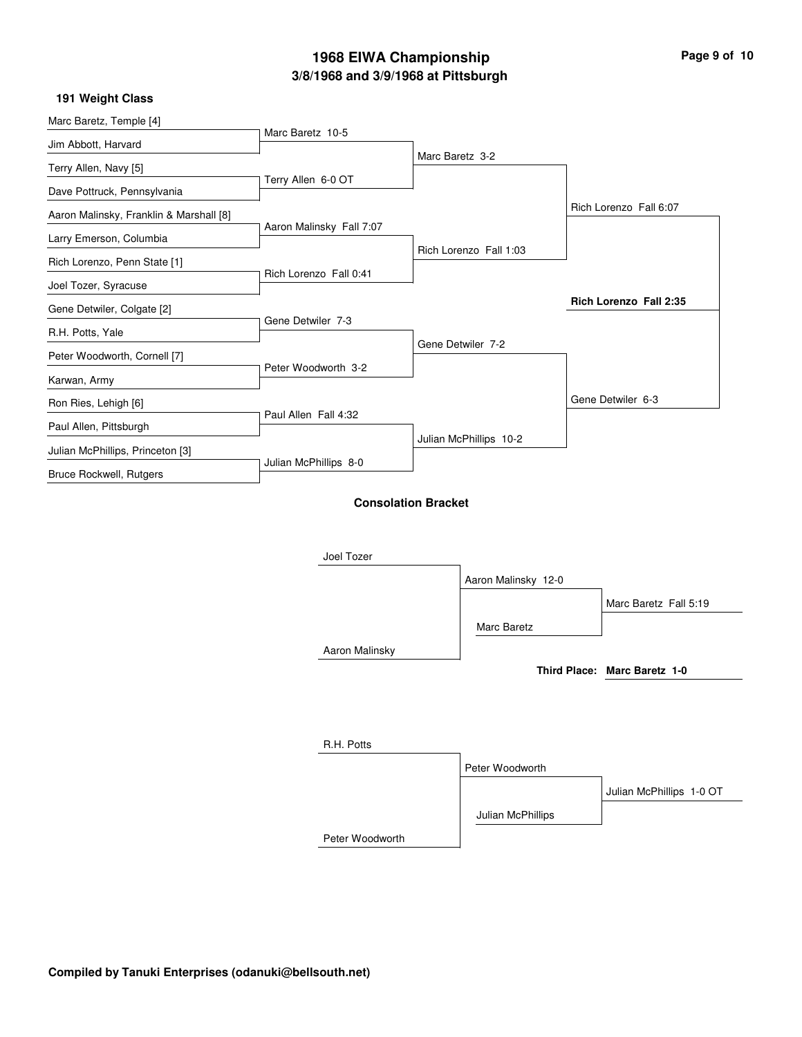| Page 9 of 10 |  |  |
|--------------|--|--|
|              |  |  |

### **191 Weight Class**

| Marc Baretz, Temple [4]                 | Marc Baretz 10-5         |                            |                        |                              |
|-----------------------------------------|--------------------------|----------------------------|------------------------|------------------------------|
| Jim Abbott, Harvard                     |                          | Marc Baretz 3-2            |                        |                              |
| Terry Allen, Navy [5]                   | Terry Allen 6-0 OT       |                            |                        |                              |
| Dave Pottruck, Pennsylvania             |                          |                            |                        |                              |
| Aaron Malinsky, Franklin & Marshall [8] |                          |                            |                        | Rich Lorenzo Fall 6:07       |
| Larry Emerson, Columbia                 | Aaron Malinsky Fall 7:07 |                            |                        |                              |
| Rich Lorenzo, Penn State [1]            |                          |                            | Rich Lorenzo Fall 1:03 |                              |
| Joel Tozer, Syracuse                    | Rich Lorenzo Fall 0:41   |                            |                        |                              |
| Gene Detwiler, Colgate [2]              |                          |                            |                        | Rich Lorenzo Fall 2:35       |
| R.H. Potts, Yale                        | Gene Detwiler 7-3        |                            |                        |                              |
| Peter Woodworth, Cornell [7]            |                          |                            | Gene Detwiler 7-2      |                              |
| Karwan, Army                            | Peter Woodworth 3-2      |                            |                        |                              |
| Ron Ries, Lehigh [6]                    |                          |                            |                        | Gene Detwiler 6-3            |
| Paul Allen, Pittsburgh                  | Paul Allen Fall 4:32     |                            |                        |                              |
| Julian McPhillips, Princeton [3]        |                          |                            | Julian McPhillips 10-2 |                              |
| Bruce Rockwell, Rutgers                 | Julian McPhillips 8-0    |                            |                        |                              |
|                                         |                          | <b>Consolation Bracket</b> |                        |                              |
|                                         |                          |                            |                        |                              |
|                                         |                          |                            |                        |                              |
|                                         | Joel Tozer               |                            |                        |                              |
|                                         |                          |                            | Aaron Malinsky 12-0    |                              |
|                                         |                          |                            |                        | Marc Baretz Fall 5:19        |
|                                         |                          |                            | Marc Baretz            |                              |
|                                         | Aaron Malinsky           |                            |                        |                              |
|                                         |                          |                            |                        | Third Place: Marc Baretz 1-0 |
|                                         |                          |                            |                        |                              |
|                                         |                          |                            |                        |                              |
|                                         | R.H. Potts               |                            |                        |                              |
|                                         |                          |                            | Peter Woodworth        |                              |
|                                         |                          |                            |                        | Julian McPhillips 1-0 OT     |
|                                         |                          |                            | Julian McPhillips      |                              |

Peter Woodworth